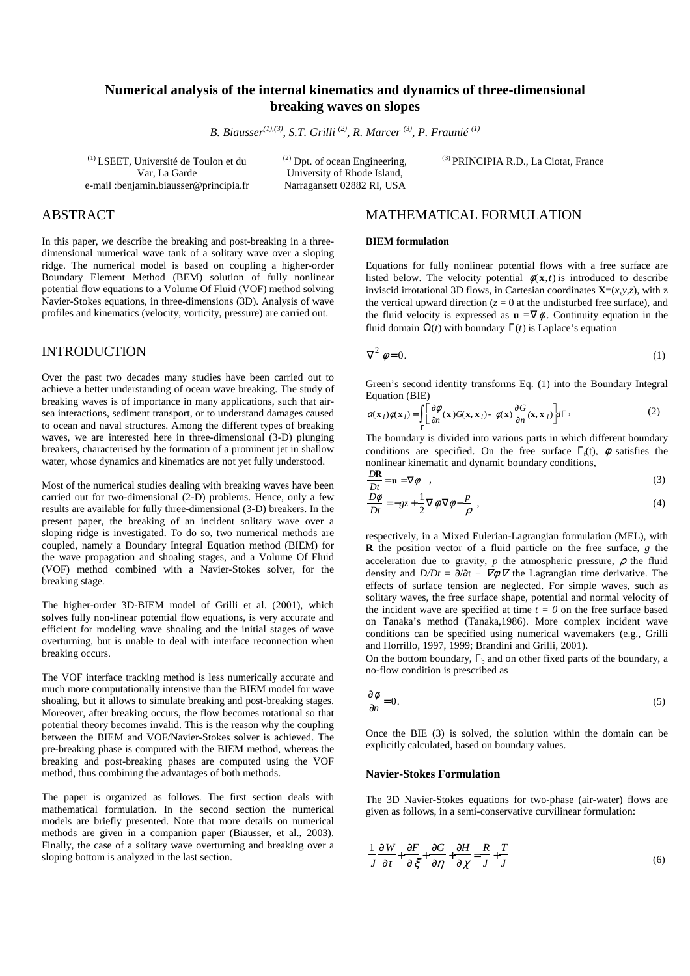### **Numerical analysis of the internal kinematics and dynamics of three-dimensional breaking waves on slopes**

*B. Biausser(1),(3), S.T. Grilli (2), R. Marcer (3), P. Fraunié (1)*

(1) LSEET, Université de Toulon et du Var, La Garde e-mail :benjamin.biausser@principia.fr (2) Dpt. of ocean Engineering, University of Rhode Island, Narragansett 02882 RI, USA

(3) PRINCIPIA R.D., La Ciotat, France

## ABSTRACT

In this paper, we describe the breaking and post-breaking in a threedimensional numerical wave tank of a solitary wave over a sloping ridge. The numerical model is based on coupling a higher-order Boundary Element Method (BEM) solution of fully nonlinear potential flow equations to a Volume Of Fluid (VOF) method solving Navier-Stokes equations, in three-dimensions (3D). Analysis of wave profiles and kinematics (velocity, vorticity, pressure) are carried out.

### INTRODUCTION

Over the past two decades many studies have been carried out to achieve a better understanding of ocean wave breaking. The study of breaking waves is of importance in many applications, such that airsea interactions, sediment transport, or to understand damages caused to ocean and naval structures. Among the different types of breaking waves, we are interested here in three-dimensional (3-D) plunging breakers, characterised by the formation of a prominent jet in shallow water, whose dynamics and kinematics are not yet fully understood.

Most of the numerical studies dealing with breaking waves have been carried out for two-dimensional (2-D) problems. Hence, only a few results are available for fully three-dimensional (3-D) breakers. In the present paper, the breaking of an incident solitary wave over a sloping ridge is investigated. To do so, two numerical methods are coupled, namely a Boundary Integral Equation method (BIEM) for the wave propagation and shoaling stages, and a Volume Of Fluid (VOF) method combined with a Navier-Stokes solver, for the breaking stage.

The higher-order 3D-BIEM model of Grilli et al. (2001), which solves fully non-linear potential flow equations, is very accurate and efficient for modeling wave shoaling and the initial stages of wave overturning, but is unable to deal with interface reconnection when breaking occurs.

The VOF interface tracking method is less numerically accurate and much more computationally intensive than the BIEM model for wave shoaling, but it allows to simulate breaking and post-breaking stages. Moreover, after breaking occurs, the flow becomes rotational so that potential theory becomes invalid. This is the reason why the coupling between the BIEM and VOF/Navier-Stokes solver is achieved. The pre-breaking phase is computed with the BIEM method, whereas the breaking and post-breaking phases are computed using the VOF method, thus combining the advantages of both methods.

The paper is organized as follows. The first section deals with mathematical formulation. In the second section the numerical models are briefly presented. Note that more details on numerical methods are given in a companion paper (Biausser, et al., 2003). Finally, the case of a solitary wave overturning and breaking over a sloping bottom is analyzed in the last section.

### MATHEMATICAL FORMULATION

#### **BIEM formulation**

Equations for fully nonlinear potential flows with a free surface are listed below. The velocity potential  $\phi(\mathbf{x},t)$  is introduced to describe inviscid irrotational 3D flows, in Cartesian coordinates  $\mathbf{X}=(x,y,z)$ , with z the vertical upward direction ( $z = 0$  at the undisturbed free surface), and the fluid velocity is expressed as  $\mathbf{u} = \nabla \phi$ . Continuity equation in the fluid domain Ω(*t*) with boundary Γ(*t*) is Laplace's equation

$$
\nabla^2 \phi = 0. \tag{1}
$$

Green's second identity transforms Eq. (1) into the Boundary Integral Equation (BIE)

$$
\alpha(\mathbf{x}_l)\phi(\mathbf{x}_l) = \int_{\Gamma} \left[\frac{\partial \phi}{\partial n}(\mathbf{x})G(\mathbf{x}, \mathbf{x}_l) - \phi(\mathbf{x})\frac{\partial G}{\partial n}(\mathbf{x}, \mathbf{x}_l)\right] d\Gamma,
$$
 (2)

The boundary is divided into various parts in which different boundary conditions are specified. On the free surface  $\Gamma_{\rm f}(t)$ ,  $\phi$  satisfies the nonlinear kinematic and dynamic boundary conditions,

$$
\frac{DR}{Dt} = \mathbf{u} = \nabla \phi \quad , \tag{3}
$$

$$
\frac{D\phi}{Dt} = -gz + \frac{1}{2}\nabla\phi.\nabla\phi - \frac{p}{\rho} \tag{4}
$$

respectively, in a Mixed Eulerian-Lagrangian formulation (MEL), with **R** the position vector of a fluid particle on the free surface, *g* the acceleration due to gravity,  $p$  the atmospheric pressure,  $\rho$  the fluid density and  $D/Dt = \partial/\partial t + \nabla \phi \nabla$  the Lagrangian time derivative. The effects of surface tension are neglected. For simple waves, such as solitary waves, the free surface shape, potential and normal velocity of the incident wave are specified at time  $t = 0$  on the free surface based on Tanaka's method (Tanaka,1986). More complex incident wave conditions can be specified using numerical wavemakers (e.g., Grilli and Horrillo, 1997, 1999; Brandini and Grilli, 2001).

On the bottom boundary,  $\Gamma_b$  and on other fixed parts of the boundary, a no-flow condition is prescribed as

$$
\frac{\partial \phi}{\partial n} = 0. \tag{5}
$$

Once the BIE (3) is solved, the solution within the domain can be explicitly calculated, based on boundary values.

#### **Navier-Stokes Formulation**

The 3D Navier-Stokes equations for two-phase (air-water) flows are given as follows, in a semi-conservative curvilinear formulation:

$$
\frac{1}{J}\frac{\partial W}{\partial t} + \frac{\partial F}{\partial \xi} + \frac{\partial G}{\partial \eta} + \frac{\partial H}{\partial \chi} = \frac{R}{J} + \frac{T}{J}
$$
(6)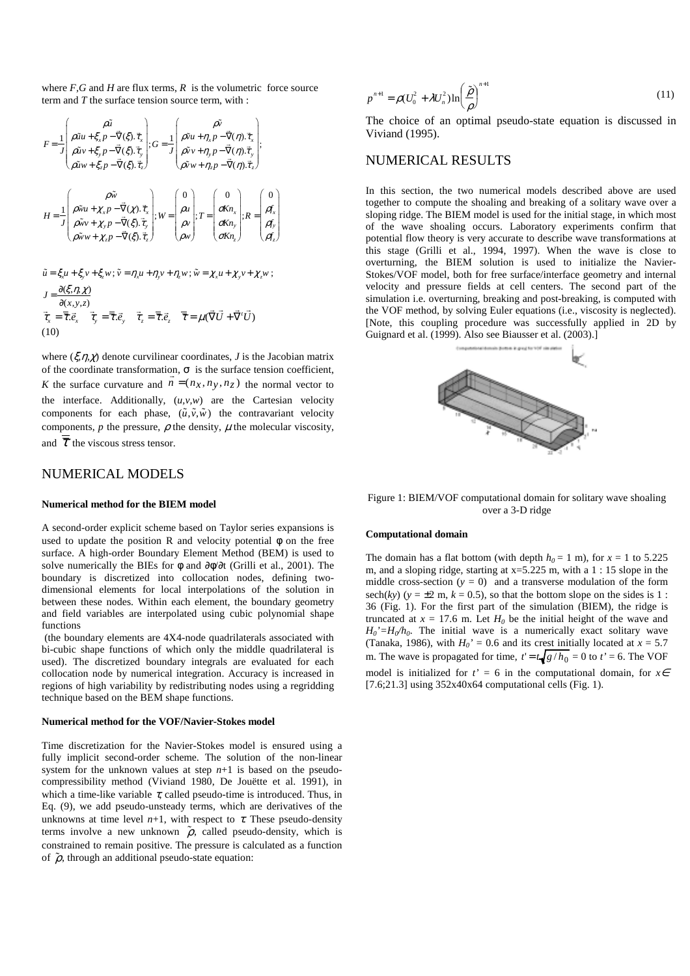where  $F$ ,  $G$  and  $H$  are flux terms,  $R$  is the volumetric force source term and *T* the surface tension source term, with :

$$
F = \frac{1}{J} \begin{pmatrix} \rho \tilde{u} \\ \rho \tilde{u}u + \xi_x p - \bar{\nabla}(\xi) . \bar{\tau}_x \\ \rho \tilde{u}v + \xi_y p - \bar{\nabla}(\xi) . \bar{\tau}_y \\ \rho \tilde{u}v + \xi_z p - \bar{\nabla}(\xi) . \bar{\tau}_z \end{pmatrix}; G = \frac{1}{J} \begin{pmatrix} \rho \tilde{v} \\ \rho \tilde{v}u + \eta_x p - \bar{\nabla}(\eta) . \bar{\tau}_x \\ \rho \tilde{v}v + \eta_y p - \bar{\nabla}(\eta) . \bar{\tau}_y \\ \rho \tilde{v}v + \eta_z p - \bar{\nabla}(\eta) . \bar{\tau}_z \end{pmatrix};
$$
  

$$
H = \frac{1}{J} \begin{pmatrix} \rho \tilde{w} \\ \rho \tilde{w}u + \chi_x p - \bar{\nabla}(\chi) . \bar{\tau}_x \\ \rho \tilde{w}v + \chi_x p - \bar{\nabla}(\xi) . \bar{\tau}_y \\ \rho \tilde{w}v + \chi_z p - \bar{\nabla}(\xi) . \bar{\tau}_z \end{pmatrix}; W = \begin{pmatrix} 0 \\ \rho u \\ \rho v \\ \rho w \end{pmatrix}; T = \begin{pmatrix} 0 \\ \sigma K n_x \\ \sigma K n_y \\ \sigma K n_y \end{pmatrix}; R = \begin{pmatrix} 0 \\ \rho f_x \\ \rho f_y \\ \rho f_z \end{pmatrix}
$$

$$
\tilde{u} = \xi_x u + \xi_y v + \xi_z w; \, \tilde{v} = \eta_x u + \eta_y v + \eta_z w; \, \tilde{w} = \chi_x u + \chi_y v + \chi_z w; \nJ = \frac{\partial(\xi, \eta, \chi)}{\partial \chi}.
$$

$$
\vec{\tau}_x = \overline{\overline{\overline{z}}}\cdot \vec{e}_x \quad \vec{\tau}_y = \overline{\overline{\overline{z}}}\cdot \vec{e}_y \quad \vec{\tau}_z = \overline{\overline{\overline{z}}}\cdot \vec{e}_z \quad \overline{\overline{\overline{z}}} = \mu(\vec{\nabla}\vec{U} + \vec{\nabla}'\vec{U})
$$
\n(10)

where  $(\xi, \eta, \chi)$  denote curvilinear coordinates, *J* is the Jacobian matrix of the coordinate transformation,  $\sigma$  is the surface tension coefficient, *K* the surface curvature and  $n = (n_x, n_y, n_z)$  the normal vector to the interface. Additionally,  $(u, v, w)$  are the Cartesian velocity components for each phase,  $(\tilde{u}, \tilde{v}, \tilde{w})$  the contravariant velocity components,  $p$  the pressure,  $\rho$  the density,  $\mu$  the molecular viscosity, and  $\overline{\overline{\tau}}$  the viscous stress tensor.

### NUMERICAL MODELS

#### **Numerical method for the BIEM model**

A second-order explicit scheme based on Taylor series expansions is used to update the position R and velocity potential  $\phi$  on the free surface. A high-order Boundary Element Method (BEM) is used to solve numerically the BIEs for φ and ∂φ/∂t (Grilli et al., 2001). The boundary is discretized into collocation nodes, defining twodimensional elements for local interpolations of the solution in between these nodes. Within each element, the boundary geometry and field variables are interpolated using cubic polynomial shape functions

 (the boundary elements are 4X4-node quadrilaterals associated with bi-cubic shape functions of which only the middle quadrilateral is used). The discretized boundary integrals are evaluated for each collocation node by numerical integration. Accuracy is increased in regions of high variability by redistributing nodes using a regridding technique based on the BEM shape functions.

#### **Numerical method for the VOF/Navier-Stokes model**

Time discretization for the Navier-Stokes model is ensured using a fully implicit second-order scheme. The solution of the non-linear system for the unknown values at step  $n+1$  is based on the pseudocompressibility method (Viviand 1980, De Jouëtte et al. 1991), in which a time-like variable  $\tau$ , called pseudo-time is introduced. Thus, in Eq. (9), we add pseudo-unsteady terms, which are derivatives of the unknowns at time level  $n+1$ , with respect to  $\tau$ . These pseudo-density terms involve a new unknown  $\tilde{\rho}$ , called pseudo-density, which is constrained to remain positive. The pressure is calculated as a function of  $\tilde{\rho}$ , through an additional pseudo-state equation:

$$
p^{n+1} = \rho (U_0^2 + \lambda U_n^2) \ln \left(\frac{\tilde{\rho}}{\rho}\right)^{n+1}
$$
 (11)

The choice of an optimal pseudo-state equation is discussed in Viviand (1995).

### NUMERICAL RESULTS

In this section, the two numerical models described above are used together to compute the shoaling and breaking of a solitary wave over a sloping ridge. The BIEM model is used for the initial stage, in which most of the wave shoaling occurs. Laboratory experiments confirm that potential flow theory is very accurate to describe wave transformations at this stage (Grilli et al., 1994, 1997). When the wave is close to overturning, the BIEM solution is used to initialize the Navier-Stokes/VOF model, both for free surface/interface geometry and internal velocity and pressure fields at cell centers. The second part of the simulation i.e. overturning, breaking and post-breaking, is computed with the VOF method, by solving Euler equations (i.e., viscosity is neglected). [Note, this coupling procedure was successfully applied in 2D by Guignard et al. (1999). Also see Biausser et al. (2003).]



Figure 1: BIEM/VOF computational domain for solitary wave shoaling over a 3-D ridge

#### **Computational domain**

The domain has a flat bottom (with depth  $h_0 = 1$  m), for  $x = 1$  to 5.225 m, and a sloping ridge, starting at  $x=5.225$  m, with a 1 : 15 slope in the middle cross-section  $(y = 0)$  and a transverse modulation of the form sech( $ky$ ) ( $y = \pm 2$  m,  $k = 0.5$ ), so that the bottom slope on the sides is 1: 36 (Fig. 1). For the first part of the simulation (BIEM), the ridge is truncated at  $x = 17.6$  m. Let  $H_0$  be the initial height of the wave and  $H_0' = H_0/h_0$ . The initial wave is a numerically exact solitary wave (Tanaka, 1986), with  $H_0' = 0.6$  and its crest initially located at  $x = 5.7$ m. The wave is propagated for time,  $t' = t \sqrt{g/h_0} = 0$  to  $t' = 6$ . The VOF model is initialized for  $t' = 6$  in the computational domain, for  $x \in$  $[7.6;21.3]$  using  $352x40x64$  computational cells (Fig. 1).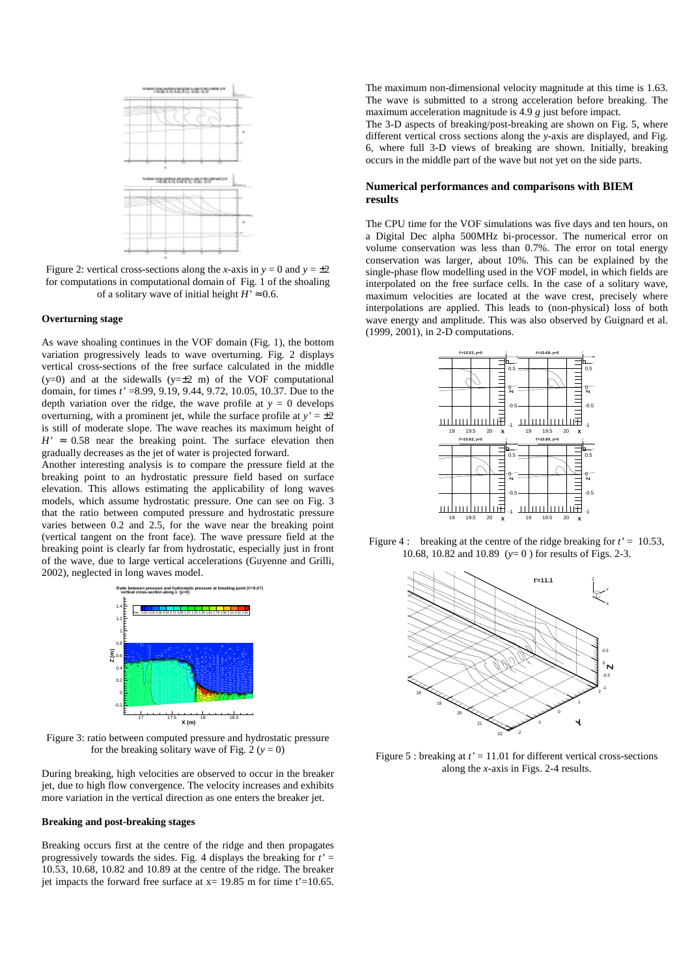

Figure 2: vertical cross-sections along the *x*-axis in  $y = 0$  and  $y = \pm 2$ for computations in computational domain of Fig. 1 of the shoaling of a solitary wave of initial height  $H' \approx 0.6$ .

#### **Overturning stage**

As wave shoaling continues in the VOF domain (Fig. 1), the bottom variation progressively leads to wave overturning. Fig. 2 displays vertical cross-sections of the free surface calculated in the middle  $(y=0)$  and at the sidewalls  $(y=\pm 2$  m) of the VOF computational domain, for times *t'* =8.99, 9.19, 9.44, 9.72, 10.05, 10.37. Due to the depth variation over the ridge, the wave profile at  $y = 0$  develops overturning, with a prominent jet, while the surface profile at  $y' = \pm 2$ is still of moderate slope. The wave reaches its maximum height of  $H' \approx 0.58$  near the breaking point. The surface elevation then gradually decreases as the jet of water is projected forward.

Another interesting analysis is to compare the pressure field at the breaking point to an hydrostatic pressure field based on surface elevation. This allows estimating the applicability of long waves models, which assume hydrostatic pressure. One can see on Fig. 3 that the ratio between computed pressure and hydrostatic pressure varies between 0.2 and 2.5, for the wave near the breaking point (vertical tangent on the front face). The wave pressure field at the breaking point is clearly far from hydrostatic, especially just in front of the wave, due to large vertical accelerations (Guyenne and Grilli, 2002), neglected in long waves model.



Figure 3: ratio between computed pressure and hydrostatic pressure for the breaking solitary wave of Fig. 2  $(y = 0)$ 

During breaking, high velocities are observed to occur in the breaker jet, due to high flow convergence. The velocity increases and exhibits more variation in the vertical direction as one enters the breaker jet.

#### **Breaking and post-breaking stages**

Breaking occurs first at the centre of the ridge and then propagates progressively towards the sides. Fig. 4 displays the breaking for  $t' =$ 10.53, 10.68, 10.82 and 10.89 at the centre of the ridge. The breaker jet impacts the forward free surface at  $x= 19.85$  m for time t'=10.65.

The maximum non-dimensional velocity magnitude at this time is 1.63. The wave is submitted to a strong acceleration before breaking. The maximum acceleration magnitude is 4.9 *g* just before impact.

The 3-D aspects of breaking/post-breaking are shown on Fig. 5, where different vertical cross sections along the *y*-axis are displayed, and Fig. 6, where full 3-D views of breaking are shown. Initially, breaking occurs in the middle part of the wave but not yet on the side parts.

### **Numerical performances and comparisons with BIEM results**

The CPU time for the VOF simulations was five days and ten hours, on a Digital Dec alpha 500MHz bi-processor. The numerical error on volume conservation was less than 0.7%. The error on total energy conservation was larger, about 10%. This can be explained by the single-phase flow modelling used in the VOF model, in which fields are interpolated on the free surface cells. In the case of a solitary wave, maximum velocities are located at the wave crest, precisely where interpolations are applied. This leads to (non-physical) loss of both wave energy and amplitude. This was also observed by Guignard et al. (1999, 2001), in 2-D computations.



Figure 4 : breaking at the centre of the ridge breaking for  $t' = 10.53$ , 10.68, 10.82 and 10.89 (*y*= 0 ) for results of Figs. 2-3.



Figure 5 : breaking at *t'* = 11.01 for different vertical cross-sections along the *x*-axis in Figs. 2-4 results.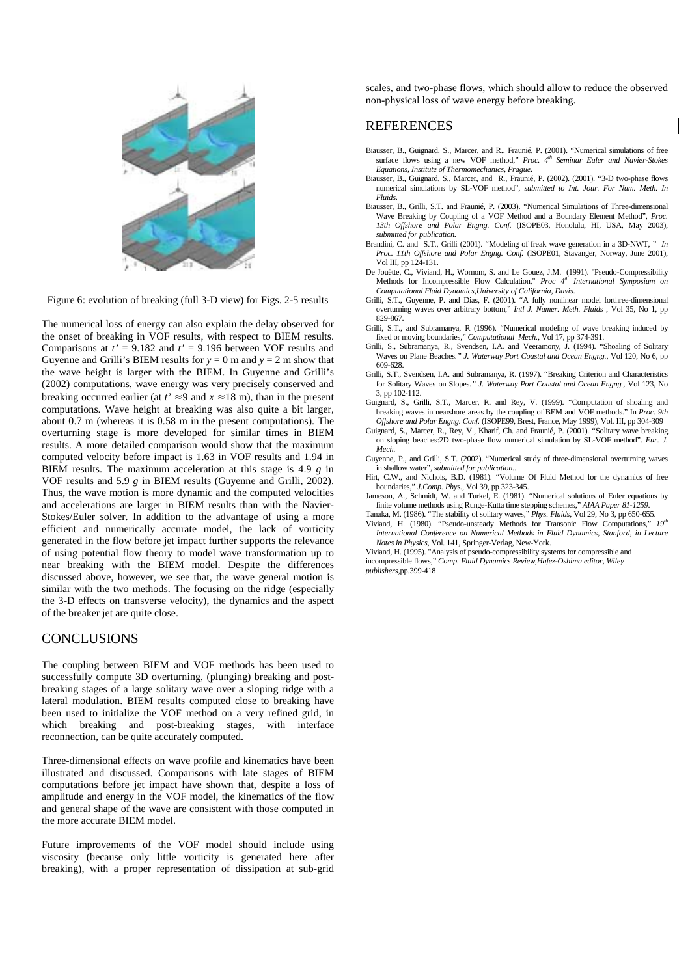

Figure 6: evolution of breaking (full 3-D view) for Figs. 2-5 results

The numerical loss of energy can also explain the delay observed for the onset of breaking in VOF results, with respect to BIEM results. Comparisons at  $t' = 9.182$  and  $t' = 9.196$  between VOF results and Guyenne and Grilli's BIEM results for  $y = 0$  m and  $y = 2$  m show that the wave height is larger with the BIEM. In Guyenne and Grilli's (2002) computations, wave energy was very precisely conserved and breaking occurred earlier (at  $t' \approx 9$  and  $x \approx 18$  m), than in the present computations. Wave height at breaking was also quite a bit larger, about 0.7 m (whereas it is 0.58 m in the present computations). The overturning stage is more developed for similar times in BIEM results. A more detailed comparison would show that the maximum computed velocity before impact is 1.63 in VOF results and 1.94 in BIEM results. The maximum acceleration at this stage is 4.9 *g* in VOF results and 5.9 *g* in BIEM results (Guyenne and Grilli, 2002). Thus, the wave motion is more dynamic and the computed velocities and accelerations are larger in BIEM results than with the Navier-Stokes/Euler solver. In addition to the advantage of using a more efficient and numerically accurate model, the lack of vorticity generated in the flow before jet impact further supports the relevance of using potential flow theory to model wave transformation up to near breaking with the BIEM model. Despite the differences discussed above, however, we see that, the wave general motion is similar with the two methods. The focusing on the ridge (especially the 3-D effects on transverse velocity), the dynamics and the aspect of the breaker jet are quite close.

### **CONCLUSIONS**

The coupling between BIEM and VOF methods has been used to successfully compute 3D overturning, (plunging) breaking and postbreaking stages of a large solitary wave over a sloping ridge with a lateral modulation. BIEM results computed close to breaking have been used to initialize the VOF method on a very refined grid, in which breaking and post-breaking stages, with interface reconnection, can be quite accurately computed.

Three-dimensional effects on wave profile and kinematics have been illustrated and discussed. Comparisons with late stages of BIEM computations before jet impact have shown that, despite a loss of amplitude and energy in the VOF model, the kinematics of the flow and general shape of the wave are consistent with those computed in the more accurate BIEM model.

Future improvements of the VOF model should include using viscosity (because only little vorticity is generated here after breaking), with a proper representation of dissipation at sub-grid scales, and two-phase flows, which should allow to reduce the observed non-physical loss of wave energy before breaking.

### **REFERENCES**

- Biausser, B., Guignard, S., Marcer, and R., Fraunié, P. (2001). "Numerical simulations of free surface flows using a new VOF method," *Proc.* 4<sup>th</sup> Seminar Euler and Navier-Stokes *Equations, Institute of Thermomechanics, Prague*.
- Biausser, B., Guignard, S., Marcer, and R., Fraunié, P. (2002). (2001). "3-D two-phase flows numerical simulations by SL-VOF method", *submitted to Int. Jour. For Num. Meth. In Fluids.*
- Biausser, B., Grilli, S.T. and Fraunié, P. (2003). "Numerical Simulations of Three-dimensional Wave Breaking by Coupling of a VOF Method and a Boundary Element Method", *Proc. 13th Offshore and Polar Engng. Conf.* (ISOPE03, Honolulu, HI, USA, May 2003), *submitted for publication.*
- Brandini, C. and S.T., Grilli (2001). "Modeling of freak wave generation in a 3D-NWT, " *In Proc. 11th Offshore and Polar Engng. Conf.* (ISOPE01, Stavanger, Norway, June 2001), Vol III, pp 124-131.
- De Jouëtte, C., Viviand, H., Wornom, S. and Le Gouez, J.M. (1991). "Pseudo-Compressibility Methods for Incompressible Flow Calculation," Proc 4<sup>th</sup> International Symposium on *Computational Fluid Dynamics,University of California, Davis*.
- Grilli, S.T., Guyenne, P. and Dias, F. (2001). "A fully nonlinear model forthree-dimensional overturning waves over arbitrary bottom," *Intl J. Numer. Meth. Fluids* , Vol 35, No 1, pp 829-867.
- Grilli, S.T., and Subramanya, R (1996). "Numerical modeling of wave breaking induced by fixed or moving boundaries," *Computational Mech.*, Vol 17, pp 374-391.
- Grilli, S., Subramanya, R., Svendsen, I.A. and Veeramony, J. (1994). "Shoaling of Solitary Waves on Plane Beaches*." J. Waterway Port Coastal and Ocean Engng.*, Vol 120, No 6, pp 609-628.
- Grilli, S.T., Svendsen, I.A. and Subramanya, R. (1997). "Breaking Criterion and Characteristics for Solitary Waves on Slopes*." J. Waterway Port Coastal and Ocean Engng.*, Vol 123, No 3, pp 102-112.
- Guignard, S., Grilli, S.T., Marcer, R. and Rey, V. (1999). "Computation of shoaling and breaking waves in nearshore areas by the coupling of BEM and VOF methods." In *Proc. 9th Offshore and Polar Engng. Conf.* (ISOPE99, Brest, France, May 1999), Vol. III, pp 304-309
- Guignard, S., Marcer, R., Rey, V., Kharif, Ch. and Fraunié, P. (2001). "Solitary wave breaking on sloping beaches:2D two-phase flow numerical simulation by SL-VOF method". *Eur. J. Mech.*
- Guyenne, P., and Grilli, S.T. (2002). "Numerical study of three-dimensional overturning waves in shallow water", *submitted for publication..*
- Hirt, C.W., and Nichols, B.D. (1981). "Volume Of Fluid Method for the dynamics of free boundaries," *J.Comp. Phys.,* Vol 39, pp 323-345.
- Jameson, A., Schmidt, W. and Turkel, E. (1981). "Numerical solutions of Euler equations by finite volume methods using Runge-Kutta time stepping schemes," *AIAA Paper 81-1259*.
- Tanaka, M. (1986). "The stability of solitary waves," *Phys. Fluids,* Vol 29*,* No 3*,* pp 650-655. Viviand, H. (1980). "Pseudo-unsteady Methods for Transonic Flow Computations," *19th International Conference on Numerical Methods in Fluid Dynamics, Stanford, in Lecture*
- *Notes in Physics,* Vol. 141, Springer-Verlag, New-York. Viviand, H. (1995). "Analysis of pseudo-compressibility systems for compressible and
- incompressible flows," *Comp. Fluid Dynamics Review,Hafez-Oshima editor, Wiley publishers,*pp.399-418